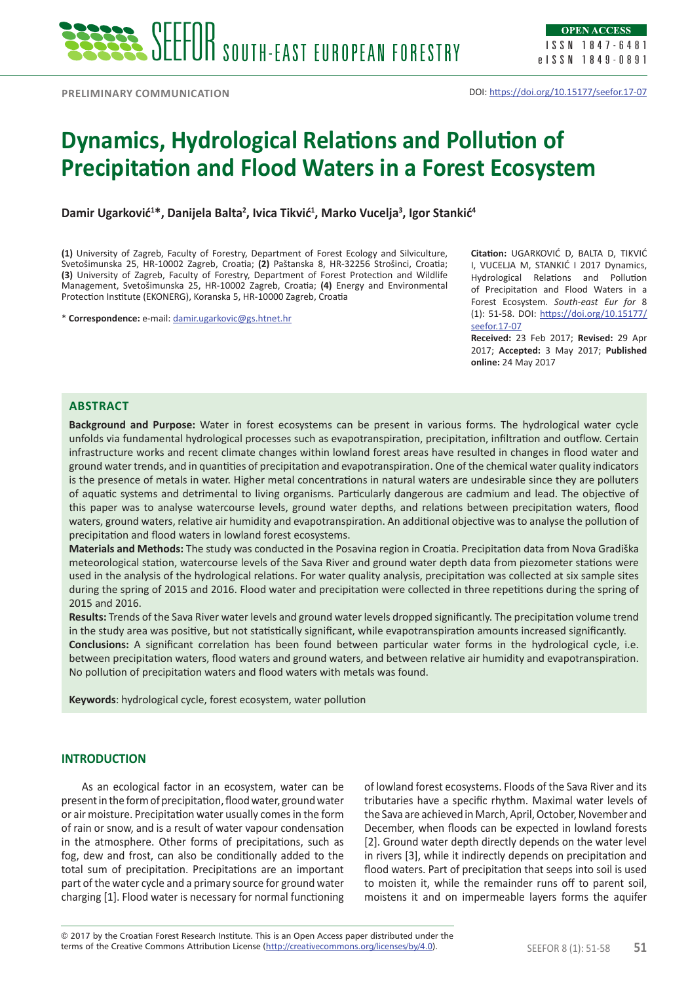ISSN 1847-6481 eISSN 1849-0891

**PRELIMINARY COMMUNICATION**

# **Dynamics, Hydrological Relations and Pollution of Precipitation and Flood Waters in a Forest Ecosystem**

**Damir Ugarković<sup>1</sup> \*, Danijela Balta<sup>2</sup> , Ivica Tikvić<sup>1</sup> , Marko Vucelja<sup>3</sup> , Igor Stankić<sup>4</sup>**

**(1)** University of Zagreb, Faculty of Forestry, Department of Forest Ecology and Silviculture, Svetošimunska 25, HR-10002 Zagreb, Croatia; **(2)** Paštanska 8, HR-32256 Strošinci, Croatia; **(3)** University of Zagreb, Faculty of Forestry, Department of Forest Protection and Wildlife Management, Svetošimunska 25, HR-10002 Zagreb, Croatia; **(4)** Energy and Environmental Protection Institute (EKONERG), Koranska 5, HR-10000 Zagreb, Croatia

\* **Correspondence:** e-mail: [damir.ugarkovic@gs.htnet.hr](mailto:damir.ugarkovic@gs.htnet.hr)

**Citation:** UGARKOVIĆ D, BALTA D, TIKVIĆ I, VUCELJA M, STANKIĆ I 2017 Dynamics, Hydrological Relations and Pollution of Precipitation and Flood Waters in a Forest Ecosystem. *South-east Eur for* 8 (1): 51-58. DOI: [https://doi.org/10.15177/](https://doi.org/10.15177/seefor.17-07) [seefor.17-07](https://doi.org/10.15177/seefor.17-07)

**Received:** 23 Feb 2017; **Revised:** 29 Apr 2017; **Accepted:** 3 May 2017; **Published online:** 24 May 2017

# **Abstract**

**Background and Purpose:** Water in forest ecosystems can be present in various forms. The hydrological water cycle unfolds via fundamental hydrological processes such as evapotranspiration, precipitation, infiltration and outflow. Certain infrastructure works and recent climate changes within lowland forest areas have resulted in changes in flood water and ground water trends, and in quantities of precipitation and evapotranspiration. One of the chemical water quality indicators is the presence of metals in water. Higher metal concentrations in natural waters are undesirable since they are polluters of aquatic systems and detrimental to living organisms. Particularly dangerous are cadmium and lead. The objective of this paper was to analyse watercourse levels, ground water depths, and relations between precipitation waters, flood waters, ground waters, relative air humidity and evapotranspiration. An additional objective was to analyse the pollution of precipitation and flood waters in lowland forest ecosystems.

**Materials and Methods:** The study was conducted in the Posavina region in Croatia. Precipitation data from Nova Gradiška meteorological station, watercourse levels of the Sava River and ground water depth data from piezometer stations were used in the analysis of the hydrological relations. For water quality analysis, precipitation was collected at six sample sites during the spring of 2015 and 2016. Flood water and precipitation were collected in three repetitions during the spring of 2015 and 2016.

**Results:** Trends of the Sava River water levels and ground water levels dropped significantly. The precipitation volume trend in the study area was positive, but not statistically significant, while evapotranspiration amounts increased significantly. **Conclusions:** A significant correlation has been found between particular water forms in the hydrological cycle, i.e. between precipitation waters, flood waters and ground waters, and between relative air humidity and evapotranspiration. No pollution of precipitation waters and flood waters with metals was found.

**Keywords**: hydrological cycle, forest ecosystem, water pollution

### **INTRODUCTION**

As an ecological factor in an ecosystem, water can be present in the form of precipitation, flood water, ground water or air moisture. Precipitation water usually comes in the form of rain or snow, and is a result of water vapour condensation in the atmosphere. Other forms of precipitations, such as fog, dew and frost, can also be conditionally added to the total sum of precipitation. Precipitations are an important part of the water cycle and a primary source for ground water charging [1]. Flood water is necessary for normal functioning of lowland forest ecosystems. Floods of the Sava River and its tributaries have a specific rhythm. Maximal water levels of the Sava are achieved in March, April, October, November and December, when floods can be expected in lowland forests [2]. Ground water depth directly depends on the water level in rivers [3], while it indirectly depends on precipitation and flood waters. Part of precipitation that seeps into soil is used to moisten it, while the remainder runs off to parent soil, moistens it and on impermeable layers forms the aquifer

terms of the Creative Commons Attribution License (<u>http://creativecommons.org/licenses/by/4.0</u>). SEEFOR 8 (1): 51-58 **51** © 2017 by the Croatian Forest Research Institute. This is an Open Access paper distributed under the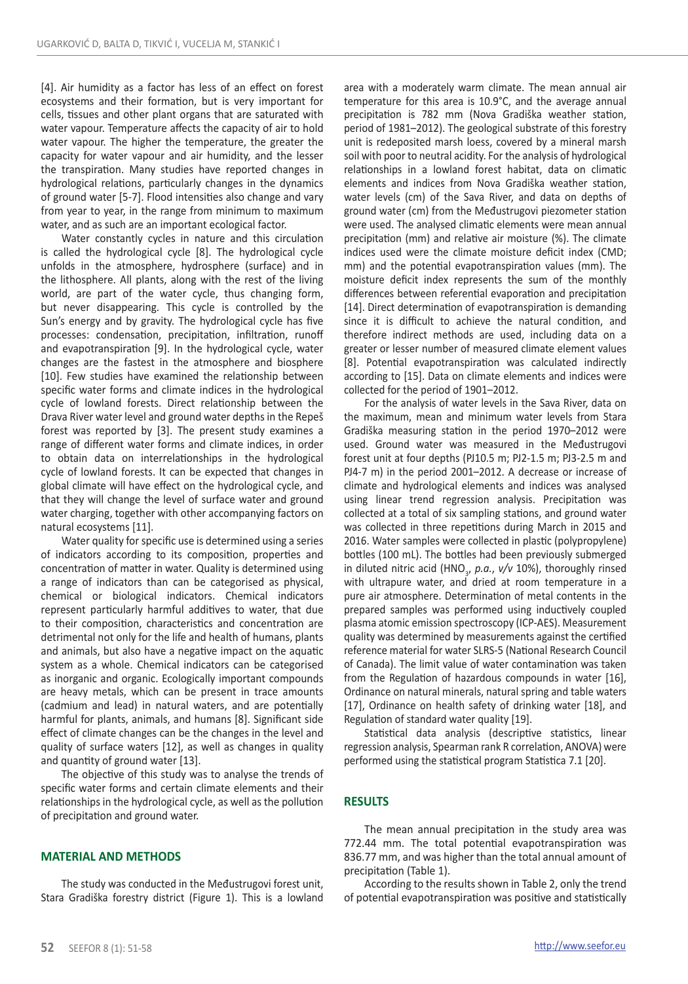[4]. Air humidity as a factor has less of an effect on forest ecosystems and their formation, but is very important for cells, tissues and other plant organs that are saturated with water vapour. Temperature affects the capacity of air to hold water vapour. The higher the temperature, the greater the capacity for water vapour and air humidity, and the lesser the transpiration. Many studies have reported changes in hydrological relations, particularly changes in the dynamics of ground water [5-7]. Flood intensities also change and vary from year to year, in the range from minimum to maximum water, and as such are an important ecological factor.

Water constantly cycles in nature and this circulation is called the hydrological cycle [8]. The hydrological cycle unfolds in the atmosphere, hydrosphere (surface) and in the lithosphere. All plants, along with the rest of the living world, are part of the water cycle, thus changing form, but never disappearing. This cycle is controlled by the Sun's energy and by gravity. The hydrological cycle has five processes: condensation, precipitation, infiltration, runoff and evapotranspiration [9]. In the hydrological cycle, water changes are the fastest in the atmosphere and biosphere [10]. Few studies have examined the relationship between specific water forms and climate indices in the hydrological cycle of lowland forests. Direct relationship between the Drava River water level and ground water depths in the Repeš forest was reported by [3]. The present study examines a range of different water forms and climate indices, in order to obtain data on interrelationships in the hydrological cycle of lowland forests. It can be expected that changes in global climate will have effect on the hydrological cycle, and that they will change the level of surface water and ground water charging, together with other accompanying factors on natural ecosystems [11].

Water quality for specific use is determined using a series of indicators according to its composition, properties and concentration of matter in water. Quality is determined using a range of indicators than can be categorised as physical, chemical or biological indicators. Chemical indicators represent particularly harmful additives to water, that due to their composition, characteristics and concentration are detrimental not only for the life and health of humans, plants and animals, but also have a negative impact on the aquatic system as a whole. Chemical indicators can be categorised as inorganic and organic. Ecologically important compounds are heavy metals, which can be present in trace amounts (cadmium and lead) in natural waters, and are potentially harmful for plants, animals, and humans [8]. Significant side effect of climate changes can be the changes in the level and quality of surface waters [12], as well as changes in quality and quantity of ground water [13].

The objective of this study was to analyse the trends of specific water forms and certain climate elements and their relationships in the hydrological cycle, as well as the pollution of precipitation and ground water.

## **MATERIAL AND METHODS**

The study was conducted in the Međustrugovi forest unit, Stara Gradiška forestry district (Figure 1). This is a lowland area with a moderately warm climate. The mean annual air temperature for this area is 10.9°C, and the average annual precipitation is 782 mm (Nova Gradiška weather station, period of 1981–2012). The geological substrate of this forestry unit is redeposited marsh loess, covered by a mineral marsh soil with poor to neutral acidity. For the analysis of hydrological relationships in a lowland forest habitat, data on climatic elements and indices from Nova Gradiška weather station, water levels (cm) of the Sava River, and data on depths of ground water (cm) from the Međustrugovi piezometer station were used. The analysed climatic elements were mean annual precipitation (mm) and relative air moisture (%). The climate indices used were the climate moisture deficit index (CMD; mm) and the potential evapotranspiration values (mm). The moisture deficit index represents the sum of the monthly differences between referential evaporation and precipitation [14]. Direct determination of evapotranspiration is demanding since it is difficult to achieve the natural condition, and therefore indirect methods are used, including data on a greater or lesser number of measured climate element values [8]. Potential evapotranspiration was calculated indirectly according to [15]. Data on climate elements and indices were collected for the period of 1901–2012.

For the analysis of water levels in the Sava River, data on the maximum, mean and minimum water levels from Stara Gradiška measuring station in the period 1970–2012 were used. Ground water was measured in the Međustrugovi forest unit at four depths (PJ10.5 m; PJ2-1.5 m; PJ3-2.5 m and PJ4-7 m) in the period 2001–2012. A decrease or increase of climate and hydrological elements and indices was analysed using linear trend regression analysis. Precipitation was collected at a total of six sampling stations, and ground water was collected in three repetitions during March in 2015 and 2016. Water samples were collected in plastic (polypropylene) bottles (100 mL). The bottles had been previously submerged in diluted nitric acid  $(HNO<sub>3</sub>, p.a., v/v 10%)$ , thoroughly rinsed with ultrapure water, and dried at room temperature in a pure air atmosphere. Determination of metal contents in the prepared samples was performed using inductively coupled plasma atomic emission spectroscopy (ICP-AES). Measurement quality was determined by measurements against the certified reference material for water SLRS-5 (National Research Council of Canada). The limit value of water contamination was taken from the Regulation of hazardous compounds in water [16], Ordinance on natural minerals, natural spring and table waters [17], Ordinance on health safety of drinking water [18], and Regulation of standard water quality [19].

Statistical data analysis (descriptive statistics, linear regression analysis, Spearman rank R correlation, ANOVA) were performed using the statistical program Statistica 7.1 [20].

## **RESULTS**

The mean annual precipitation in the study area was 772.44 mm. The total potential evapotranspiration was 836.77 mm, and was higher than the total annual amount of precipitation (Table 1).

According to the results shown in Table 2, only the trend of potential evapotranspiration was positive and statistically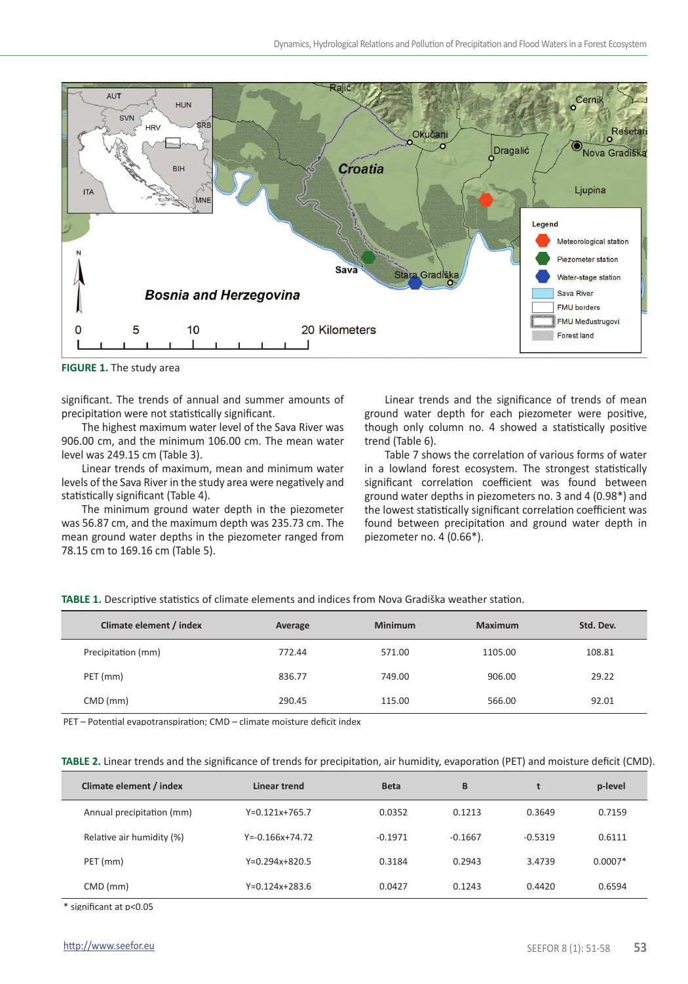

**FIGURE 1.** The study area

significant. The trends of annual and summer amounts of precipitation were not statistically significant.

The highest maximum water level of the Sava River was 906.00 cm, and the minimum 106.00 cm. The mean water level was 249.15 cm (Table 3).

Linear trends of maximum, mean and minimum water levels of the Sava River in the study area were negatively and statistically significant (Table 4).

The minimum ground water depth in the piezometer was 56.87 cm, and the maximum depth was 235.73 cm. The mean ground water depths in the piezometer ranged from 78.15 cm to 169.16 cm (Table 5).

Linear trends and the significance of trends of mean ground water depth for each piezometer were positive, though only column no. 4 showed a statistically positive trend (Table 6).

Table 7 shows the correlation of various forms of water in a lowland forest ecosystem. The strongest statistically significant correlation coefficient was found between ground water depths in piezometers no. 3 and 4 (0.98\*) and the lowest statistically significant correlation coefficient was found between precipitation and ground water depth in piezometer no. 4 (0.66\*).

**TABLE 1.** Descriptive statistics of climate elements and indices from Nova Gradiška weather station.

| Climate element / index | Average | <b>Minimum</b> | Maximum | Std. Dev. |
|-------------------------|---------|----------------|---------|-----------|
| Precipitation (mm)      | 772.44  | 571.00         | 1105.00 | 108.81    |
| PET (mm)                | 836.77  | 749.00         | 906.00  | 29.22     |
| $CMD$ (mm)              | 290.45  | 115.00         | 566.00  | 92.01     |

PET – Potential evapotranspiration; CMD – climate moisture deficit index

|  |  |  |  | TABLE 2. Linear trends and the significance of trends for precipitation, air humidity, evaporation (PET) and moisture deficit (CMD). |
|--|--|--|--|--------------------------------------------------------------------------------------------------------------------------------------|
|--|--|--|--|--------------------------------------------------------------------------------------------------------------------------------------|

| Climate element / index   | Linear trend          | <b>Beta</b> | B         |           | p-level   |
|---------------------------|-----------------------|-------------|-----------|-----------|-----------|
| Annual precipitation (mm) | $Y=0.121x+765.7$      | 0.0352      | 0.1213    | 0.3649    | 0.7159    |
| Relative air humidity (%) | $Y = -0.166x + 74.72$ | $-0.1971$   | $-0.1667$ | $-0.5319$ | 0.6111    |
| PET (mm)                  | $Y=0.294x+820.5$      | 0.3184      | 0.2943    | 3.4739    | $0.0007*$ |
| CMD (mm)                  | $Y=0.124x+283.6$      | 0.0427      | 0.1243    | 0.4420    | 0.6594    |

\* significant at p<0.05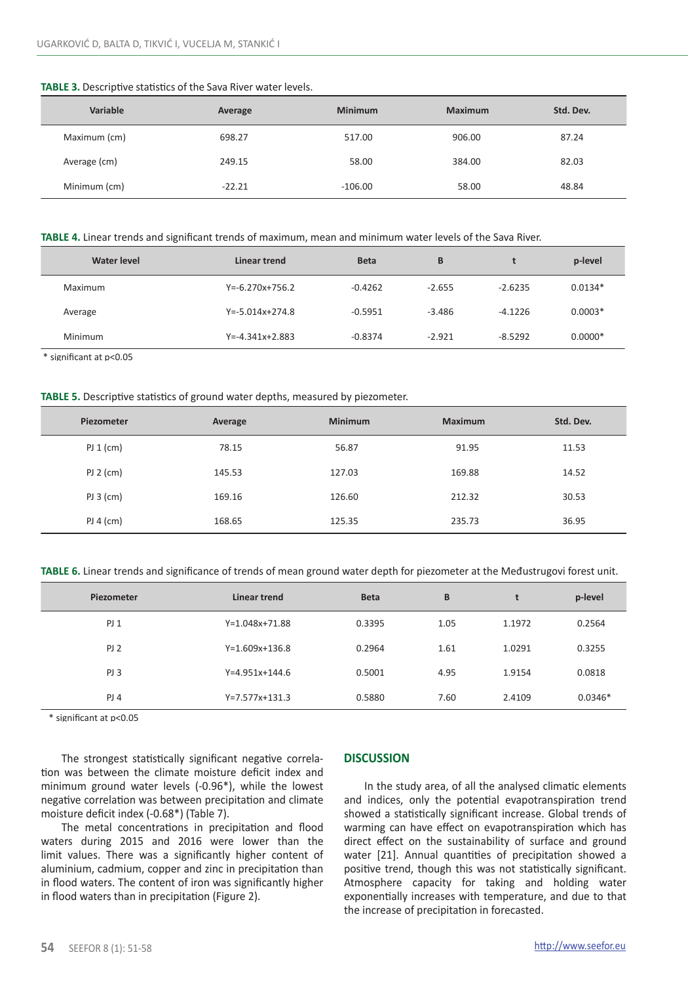#### **TABLE 3.** Descriptive statistics of the Sava River water levels.

| Variable     | Average  | <b>Minimum</b> | <b>Maximum</b> | Std. Dev. |
|--------------|----------|----------------|----------------|-----------|
| Maximum (cm) | 698.27   | 517.00         | 906.00         | 87.24     |
| Average (cm) | 249.15   | 58.00          | 384.00         | 82.03     |
| Minimum (cm) | $-22.21$ | $-106.00$      | 58.00          | 48.84     |

**TABLE 4.** Linear trends and significant trends of maximum, mean and minimum water levels of the Sava River.

| Water level | Linear trend          | <b>Beta</b> | B        |           | p-level   |
|-------------|-----------------------|-------------|----------|-----------|-----------|
| Maximum     | $Y = -6.270x + 756.2$ | $-0.4262$   | $-2.655$ | $-2.6235$ | $0.0134*$ |
| Average     | $Y = -5.014x + 274.8$ | $-0.5951$   | $-3.486$ | $-4.1226$ | $0.0003*$ |
| Minimum     | $Y = -4.341x + 2.883$ | $-0.8374$   | $-2.921$ | $-8.5292$ | $0.0000*$ |

\* significant at p<0.05

## **TABLE 5.** Descriptive statistics of ground water depths, measured by piezometer.

| <b>Piezometer</b> | Average | <b>Minimum</b> | <b>Maximum</b> | Std. Dev. |
|-------------------|---------|----------------|----------------|-----------|
| PI(cm)            | 78.15   | 56.87          | 91.95          | 11.53     |
| PI 2 (cm)         | 145.53  | 127.03         | 169.88         | 14.52     |
| $PI 3$ (cm)       | 169.16  | 126.60         | 212.32         | 30.53     |
| PI 4 (cm)         | 168.65  | 125.35         | 235.73         | 36.95     |

**TABLE 6.** Linear trends and significance of trends of mean ground water depth for piezometer at the Međustrugovi forest unit.

| Piezometer      | Linear trend     | <b>Beta</b> | B    |        | p-level   |
|-----------------|------------------|-------------|------|--------|-----------|
| PI <sub>1</sub> | Y=1.048x+71.88   | 0.3395      | 1.05 | 1.1972 | 0.2564    |
| PI <sub>2</sub> | $Y=1.609x+136.8$ | 0.2964      | 1.61 | 1.0291 | 0.3255    |
| PI <sub>3</sub> | $Y=4.951x+144.6$ | 0.5001      | 4.95 | 1.9154 | 0.0818    |
| PI <sub>4</sub> | $Y=7.577x+131.3$ | 0.5880      | 7.60 | 2.4109 | $0.0346*$ |

\* significant at p<0.05

The strongest statistically significant negative correlation was between the climate moisture deficit index and minimum ground water levels (-0.96\*), while the lowest negative correlation was between precipitation and climate moisture deficit index (-0.68\*) (Table 7).

The metal concentrations in precipitation and flood waters during 2015 and 2016 were lower than the limit values. There was a significantly higher content of aluminium, cadmium, copper and zinc in precipitation than in flood waters. The content of iron was significantly higher in flood waters than in precipitation (Figure 2).

## **DISCUSSION**

In the study area, of all the analysed climatic elements and indices, only the potential evapotranspiration trend showed a statistically significant increase. Global trends of warming can have effect on evapotranspiration which has direct effect on the sustainability of surface and ground water [21]. Annual quantities of precipitation showed a positive trend, though this was not statistically significant. Atmosphere capacity for taking and holding water exponentially increases with temperature, and due to that the increase of precipitation in forecasted.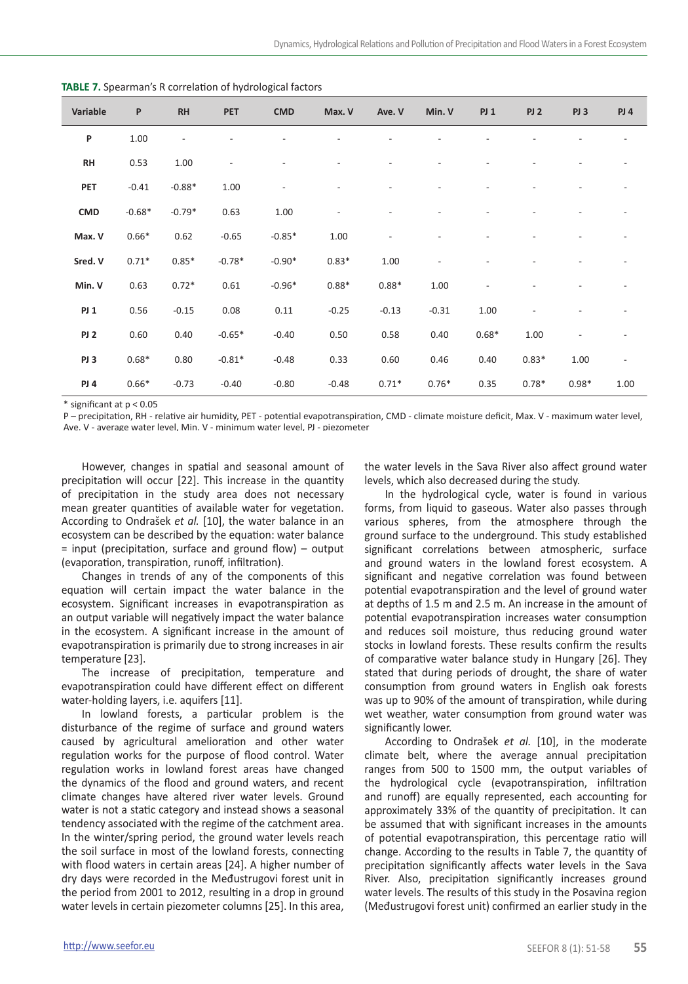| Variable        | P        | RH             | PET      | <b>CMD</b> | Max. V  | Ave. V  | Min. V  | PI <sub>1</sub> | PI <sub>2</sub> | PJ <sub>3</sub> | PI <sub>4</sub> |
|-----------------|----------|----------------|----------|------------|---------|---------|---------|-----------------|-----------------|-----------------|-----------------|
| P               | 1.00     | $\overline{a}$ |          |            |         |         |         |                 |                 |                 |                 |
| RH              | 0.53     | 1.00           |          |            |         |         |         |                 |                 |                 |                 |
| PET             | $-0.41$  | $-0.88*$       | 1.00     |            |         |         |         |                 |                 |                 |                 |
| <b>CMD</b>      | $-0.68*$ | $-0.79*$       | 0.63     | 1.00       |         |         |         |                 |                 |                 |                 |
| Max. V          | $0.66*$  | 0.62           | $-0.65$  | $-0.85*$   | 1.00    |         |         |                 |                 |                 |                 |
| Sred. V         | $0.71*$  | $0.85*$        | $-0.78*$ | $-0.90*$   | $0.83*$ | 1.00    |         |                 |                 |                 |                 |
| Min. V          | 0.63     | $0.72*$        | 0.61     | $-0.96*$   | $0.88*$ | $0.88*$ | 1.00    | $\overline{a}$  |                 |                 |                 |
| PJ <sub>1</sub> | 0.56     | $-0.15$        | 0.08     | 0.11       | $-0.25$ | $-0.13$ | $-0.31$ | 1.00            | $\overline{a}$  |                 |                 |
| PJ <sub>2</sub> | 0.60     | 0.40           | $-0.65*$ | $-0.40$    | 0.50    | 0.58    | 0.40    | $0.68*$         | 1.00            |                 |                 |
| PJ <sub>3</sub> | $0.68*$  | 0.80           | $-0.81*$ | $-0.48$    | 0.33    | 0.60    | 0.46    | 0.40            | $0.83*$         | 1.00            |                 |
| PJ 4            | $0.66*$  | $-0.73$        | $-0.40$  | $-0.80$    | $-0.48$ | $0.71*$ | $0.76*$ | 0.35            | $0.78*$         | $0.98*$         | 1.00            |

**TABLE 7.** Spearman's R correlation of hydrological factors

 $*$  significant at  $p < 0.05$ 

P – precipitation, RH - relative air humidity, PET - potential evapotranspiration, CMD - climate moisture deficit, Max. V - maximum water level, Ave. V - average water level, Min. V - minimum water level, PJ - piezometer

However, changes in spatial and seasonal amount of precipitation will occur [22]. This increase in the quantity of precipitation in the study area does not necessary mean greater quantities of available water for vegetation. According to Ondrašek *et al.* [10], the water balance in an ecosystem can be described by the equation: water balance = input (precipitation, surface and ground flow) – output (evaporation, transpiration, runoff, infiltration).

Changes in trends of any of the components of this equation will certain impact the water balance in the ecosystem. Significant increases in evapotranspiration as an output variable will negatively impact the water balance in the ecosystem. A significant increase in the amount of evapotranspiration is primarily due to strong increases in air temperature [23].

The increase of precipitation, temperature and evapotranspiration could have different effect on different water-holding layers, i.e. aquifers [11].

In lowland forests, a particular problem is the disturbance of the regime of surface and ground waters caused by agricultural amelioration and other water regulation works for the purpose of flood control. Water regulation works in lowland forest areas have changed the dynamics of the flood and ground waters, and recent climate changes have altered river water levels. Ground water is not a static category and instead shows a seasonal tendency associated with the regime of the catchment area. In the winter/spring period, the ground water levels reach the soil surface in most of the lowland forests, connecting with flood waters in certain areas [24]. A higher number of dry days were recorded in the Međustrugovi forest unit in the period from 2001 to 2012, resulting in a drop in ground water levels in certain piezometer columns [25]. In this area,

the water levels in the Sava River also affect ground water levels, which also decreased during the study.

In the hydrological cycle, water is found in various forms, from liquid to gaseous. Water also passes through various spheres, from the atmosphere through the ground surface to the underground. This study established significant correlations between atmospheric, surface and ground waters in the lowland forest ecosystem. A significant and negative correlation was found between potential evapotranspiration and the level of ground water at depths of 1.5 m and 2.5 m. An increase in the amount of potential evapotranspiration increases water consumption and reduces soil moisture, thus reducing ground water stocks in lowland forests. These results confirm the results of comparative water balance study in Hungary [26]. They stated that during periods of drought, the share of water consumption from ground waters in English oak forests was up to 90% of the amount of transpiration, while during wet weather, water consumption from ground water was significantly lower.

According to Ondrašek *et al.* [10], in the moderate climate belt, where the average annual precipitation ranges from 500 to 1500 mm, the output variables of the hydrological cycle (evapotranspiration, infiltration and runoff) are equally represented, each accounting for approximately 33% of the quantity of precipitation. It can be assumed that with significant increases in the amounts of potential evapotranspiration, this percentage ratio will change. According to the results in Table 7, the quantity of precipitation significantly affects water levels in the Sava River. Also, precipitation significantly increases ground water levels. The results of this study in the Posavina region (Međustrugovi forest unit) confirmed an earlier study in the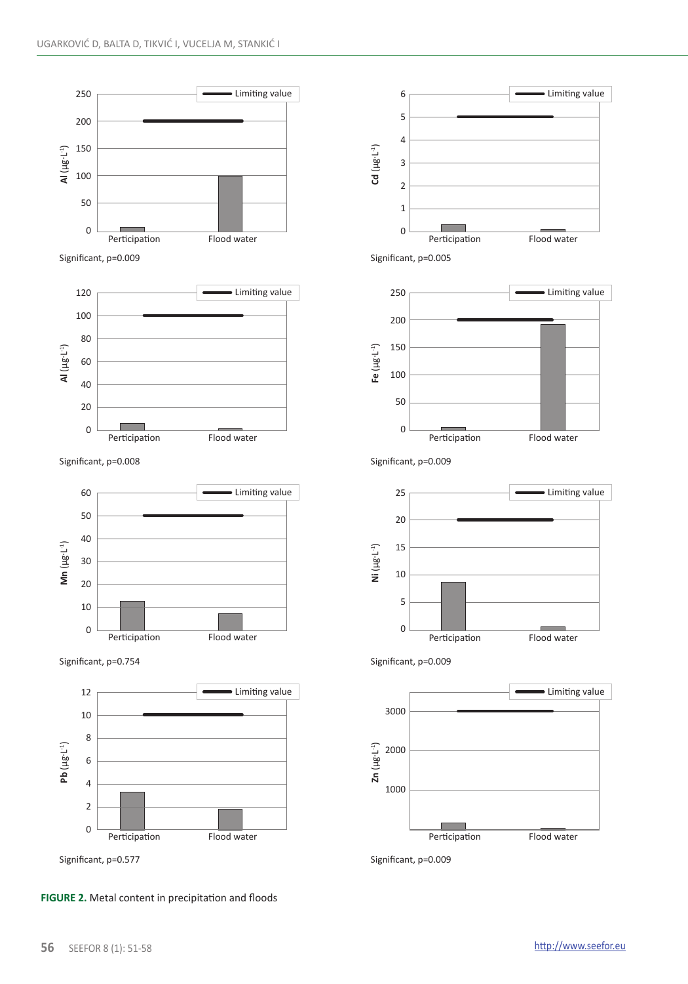

Significant, p=0.009



Significant, p=0.008



Significant, p=0.754



**FIGURE 2.** Metal content in precipitation and floods



Significant, p=0.005



Significant, p=0.009



Significant, p=0.009



Significant, p=0.009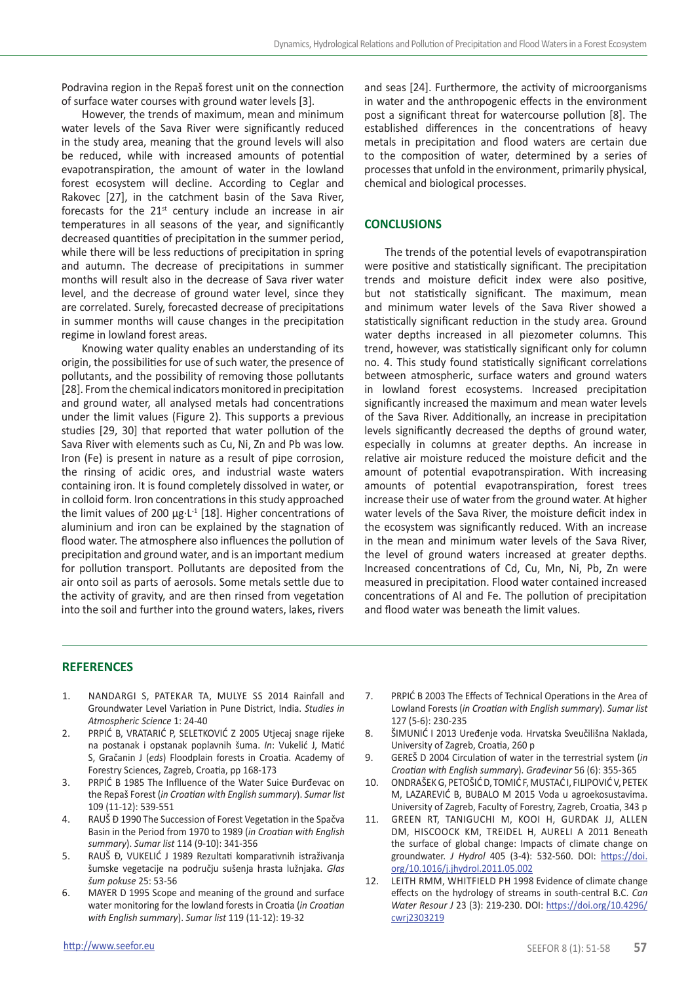Podravina region in the Repaš forest unit on the connection of surface water courses with ground water levels [3].

However, the trends of maximum, mean and minimum water levels of the Sava River were significantly reduced in the study area, meaning that the ground levels will also be reduced, while with increased amounts of potential evapotranspiration, the amount of water in the lowland forest ecosystem will decline. According to Ceglar and Rakovec [27], in the catchment basin of the Sava River, forecasts for the  $21<sup>st</sup>$  century include an increase in air temperatures in all seasons of the year, and significantly decreased quantities of precipitation in the summer period, while there will be less reductions of precipitation in spring and autumn. The decrease of precipitations in summer months will result also in the decrease of Sava river water level, and the decrease of ground water level, since they are correlated. Surely, forecasted decrease of precipitations in summer months will cause changes in the precipitation regime in lowland forest areas.

Knowing water quality enables an understanding of its origin, the possibilities for use of such water, the presence of pollutants, and the possibility of removing those pollutants [28]. From the chemical indicators monitored in precipitation and ground water, all analysed metals had concentrations under the limit values (Figure 2). This supports a previous studies [29, 30] that reported that water pollution of the Sava River with elements such as Cu, Ni, Zn and Pb was low. Iron (Fe) is present in nature as a result of pipe corrosion, the rinsing of acidic ores, and industrial waste waters containing iron. It is found completely dissolved in water, or in colloid form. Iron concentrations in this study approached the limit values of 200 μg·L<sup>-1</sup> [18]. Higher concentrations of aluminium and iron can be explained by the stagnation of flood water. The atmosphere also influences the pollution of precipitation and ground water, and is an important medium for pollution transport. Pollutants are deposited from the air onto soil as parts of aerosols. Some metals settle due to the activity of gravity, and are then rinsed from vegetation into the soil and further into the ground waters, lakes, rivers

and seas [24]. Furthermore, the activity of microorganisms in water and the anthropogenic effects in the environment post a significant threat for watercourse pollution [8]. The established differences in the concentrations of heavy metals in precipitation and flood waters are certain due to the composition of water, determined by a series of processes that unfold in the environment, primarily physical, chemical and biological processes.

# **CONCLUSIONS**

The trends of the potential levels of evapotranspiration were positive and statistically significant. The precipitation trends and moisture deficit index were also positive, but not statistically significant. The maximum, mean and minimum water levels of the Sava River showed a statistically significant reduction in the study area. Ground water depths increased in all piezometer columns. This trend, however, was statistically significant only for column no. 4. This study found statistically significant correlations between atmospheric, surface waters and ground waters in lowland forest ecosystems. Increased precipitation significantly increased the maximum and mean water levels of the Sava River. Additionally, an increase in precipitation levels significantly decreased the depths of ground water, especially in columns at greater depths. An increase in relative air moisture reduced the moisture deficit and the amount of potential evapotranspiration. With increasing amounts of potential evapotranspiration, forest trees increase their use of water from the ground water. At higher water levels of the Sava River, the moisture deficit index in the ecosystem was significantly reduced. With an increase in the mean and minimum water levels of the Sava River, the level of ground waters increased at greater depths. Increased concentrations of Cd, Cu, Mn, Ni, Pb, Zn were measured in precipitation. Flood water contained increased concentrations of Al and Fe. The pollution of precipitation and flood water was beneath the limit values.

## **REFERENCES**

- 1. Nandargi S, Patekar TA, Mulye SS 2014 Rainfall and Groundwater Level Variation in Pune District, India. *Studies in Atmospheric Science* 1: 24-40
- 2. PRPIĆ B, VRATARIĆ P, SELETKOVIĆ Z 2005 Utjecaj snage rijeke na postanak i opstanak poplavnih šuma. *In*: Vukelić J, Matić S, Gračanin J (*eds*) Floodplain forests in Croatia. Academy of Forestry Sciences, Zagreb, Croatia, pp 168-173
- 3. PRPIĆ B 1985 The Inflluence of the Water Suice Đurđevac on the Repaš Forest (*in Croatian with English summary*). *Sumar list* 109 (11-12): 539-551
- 4. RAUŠ Đ 1990 The Succession of Forest Vegetation in the Spačva Basin in the Period from 1970 to 1989 (*in Croatian with English summary*). *Sumar list* 114 (9-10): 341-356
- 5. RAUŠ Đ, VUKELIĆ J 1989 Rezultati komparativnih istraživanja šumske vegetacije na području sušenja hrasta lužnjaka. *Glas šum pokuse* 25: 53-56
- 6. MAYER D 1995 Scope and meaning of the ground and surface water monitoring for the lowland forests in Croatia (*in Croatian with English summary*). *Sumar list* 119 (11-12): 19-32
- 7. PRPIĆ B 2003 The Effects of Technical Operations in the Area of Lowland Forests (*in Croatian with English summary*). *Sumar list* 127 (5-6): 230-235
- 8. ŠIMUNIĆ I 2013 Uređenje voda. Hrvatska Sveučilišna Naklada, University of Zagreb, Croatia, 260 p
- 9. GEREŠ D 2004 Circulation of water in the terrestrial system (*in Croatian with English summary*). *Građevinar* 56 (6): 355-365
- 10. ONDRAŠEK G, PETOŠIĆ D, TOMIĆ F, MUSTAĆ I, FILIPOVIĆ V, PETEK M, LAZAREVIĆ B, BUBALO M 2015 Voda u agroekosustavima. University of Zagreb, Faculty of Forestry, Zagreb, Croatia, 343 p
- 11. Green RT, Taniguchi M, Kooi H, Gurdak JJ, Allen DM, Hiscoock KM, Treidel H, Aureli A 2011 Beneath the surface of global change: Impacts of climate change on groundwater. *J Hydrol* 405 (3-4): 532-560. DOI: [https://doi.](https://doi.org/10.1016/j.jhydrol.2011.05.002) [org/10.1016/j.jhydrol.2011.05.002](https://doi.org/10.1016/j.jhydrol.2011.05.002)
- 12. Leith RMM, Whitfield PH 1998 Evidence of climate change effects on the hydrology of streams in south-central B.C. *Can Water Resour J* 23 (3): 219-230. DOI: [https://doi.org/10.4296/](https://doi.org/10.4296/cwrj2303219) [cwrj2303219](https://doi.org/10.4296/cwrj2303219)